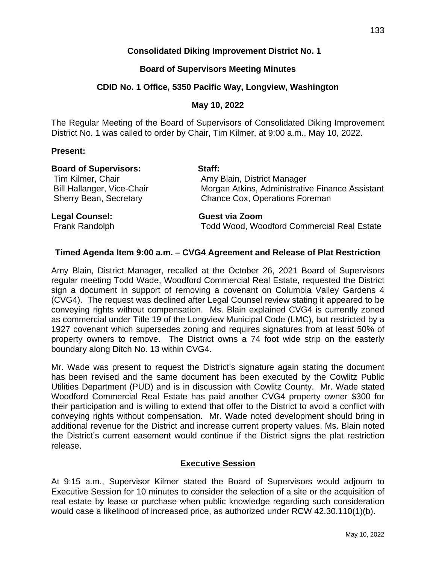## **Consolidated Diking Improvement District No. 1**

#### **Board of Supervisors Meeting Minutes**

#### **CDID No. 1 Office, 5350 Pacific Way, Longview, Washington**

## **May 10, 2022**

The Regular Meeting of the Board of Supervisors of Consolidated Diking Improvement District No. 1 was called to order by Chair, Tim Kilmer, at 9:00 a.m., May 10, 2022.

#### **Present:**

| <b>Board of Supervisors:</b> | Staff: |
|------------------------------|--------|
|------------------------------|--------|

Tim Kilmer, Chair **Amy Blain, District Manager** Bill Hallanger, Vice-Chair **Morgan Atkins, Administrative Finance Assistant** Sherry Bean, Secretary Chance Cox, Operations Foreman

**Legal Counsel: Guest via Zoom** Frank Randolph Todd Wood, Woodford Commercial Real Estate

#### **Timed Agenda Item 9:00 a.m. – CVG4 Agreement and Release of Plat Restriction**

Amy Blain, District Manager, recalled at the October 26, 2021 Board of Supervisors regular meeting Todd Wade, Woodford Commercial Real Estate, requested the District sign a document in support of removing a covenant on Columbia Valley Gardens 4 (CVG4). The request was declined after Legal Counsel review stating it appeared to be conveying rights without compensation. Ms. Blain explained CVG4 is currently zoned as commercial under Title 19 of the Longview Municipal Code (LMC), but restricted by a 1927 covenant which supersedes zoning and requires signatures from at least 50% of property owners to remove. The District owns a 74 foot wide strip on the easterly boundary along Ditch No. 13 within CVG4.

Mr. Wade was present to request the District's signature again stating the document has been revised and the same document has been executed by the Cowlitz Public Utilities Department (PUD) and is in discussion with Cowlitz County. Mr. Wade stated Woodford Commercial Real Estate has paid another CVG4 property owner \$300 for their participation and is willing to extend that offer to the District to avoid a conflict with conveying rights without compensation. Mr. Wade noted development should bring in additional revenue for the District and increase current property values. Ms. Blain noted the District's current easement would continue if the District signs the plat restriction release.

#### **Executive Session**

At 9:15 a.m., Supervisor Kilmer stated the Board of Supervisors would adjourn to Executive Session for 10 minutes to consider the selection of a site or the acquisition of real estate by lease or purchase when public knowledge regarding such consideration would case a likelihood of increased price, as authorized under RCW 42.30.110(1)(b).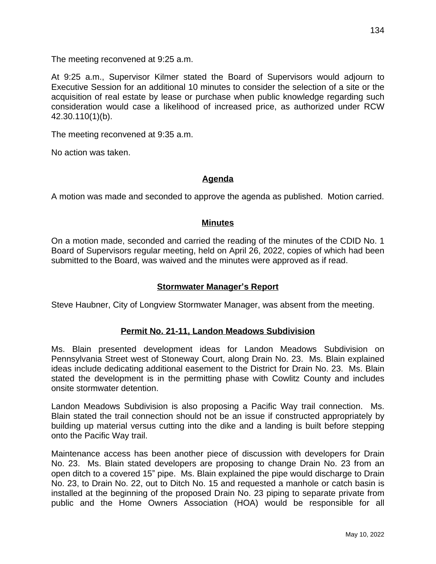The meeting reconvened at 9:25 a.m.

At 9:25 a.m., Supervisor Kilmer stated the Board of Supervisors would adjourn to Executive Session for an additional 10 minutes to consider the selection of a site or the acquisition of real estate by lease or purchase when public knowledge regarding such consideration would case a likelihood of increased price, as authorized under RCW 42.30.110(1)(b).

The meeting reconvened at 9:35 a.m.

No action was taken.

## **Agenda**

A motion was made and seconded to approve the agenda as published. Motion carried.

#### **Minutes**

On a motion made, seconded and carried the reading of the minutes of the CDID No. 1 Board of Supervisors regular meeting, held on April 26, 2022, copies of which had been submitted to the Board, was waived and the minutes were approved as if read.

## **Stormwater Manager's Report**

Steve Haubner, City of Longview Stormwater Manager, was absent from the meeting.

## **Permit No. 21-11, Landon Meadows Subdivision**

Ms. Blain presented development ideas for Landon Meadows Subdivision on Pennsylvania Street west of Stoneway Court, along Drain No. 23. Ms. Blain explained ideas include dedicating additional easement to the District for Drain No. 23. Ms. Blain stated the development is in the permitting phase with Cowlitz County and includes onsite stormwater detention.

Landon Meadows Subdivision is also proposing a Pacific Way trail connection. Ms. Blain stated the trail connection should not be an issue if constructed appropriately by building up material versus cutting into the dike and a landing is built before stepping onto the Pacific Way trail.

Maintenance access has been another piece of discussion with developers for Drain No. 23. Ms. Blain stated developers are proposing to change Drain No. 23 from an open ditch to a covered 15" pipe. Ms. Blain explained the pipe would discharge to Drain No. 23, to Drain No. 22, out to Ditch No. 15 and requested a manhole or catch basin is installed at the beginning of the proposed Drain No. 23 piping to separate private from public and the Home Owners Association (HOA) would be responsible for all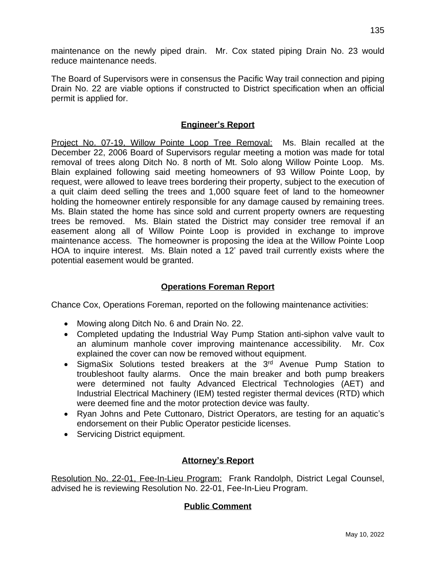maintenance on the newly piped drain. Mr. Cox stated piping Drain No. 23 would reduce maintenance needs.

The Board of Supervisors were in consensus the Pacific Way trail connection and piping Drain No. 22 are viable options if constructed to District specification when an official permit is applied for.

## **Engineer's Report**

Project No. 07-19, Willow Pointe Loop Tree Removal: Ms. Blain recalled at the December 22, 2006 Board of Supervisors regular meeting a motion was made for total removal of trees along Ditch No. 8 north of Mt. Solo along Willow Pointe Loop. Ms. Blain explained following said meeting homeowners of 93 Willow Pointe Loop, by request, were allowed to leave trees bordering their property, subject to the execution of a quit claim deed selling the trees and 1,000 square feet of land to the homeowner holding the homeowner entirely responsible for any damage caused by remaining trees. Ms. Blain stated the home has since sold and current property owners are requesting trees be removed. Ms. Blain stated the District may consider tree removal if an easement along all of Willow Pointe Loop is provided in exchange to improve maintenance access. The homeowner is proposing the idea at the Willow Pointe Loop HOA to inquire interest. Ms. Blain noted a 12' paved trail currently exists where the potential easement would be granted.

# **Operations Foreman Report**

Chance Cox, Operations Foreman, reported on the following maintenance activities:

- Mowing along Ditch No. 6 and Drain No. 22.
- Completed updating the Industrial Way Pump Station anti-siphon valve vault to an aluminum manhole cover improving maintenance accessibility. Mr. Cox explained the cover can now be removed without equipment.
- SigmaSix Solutions tested breakers at the 3<sup>rd</sup> Avenue Pump Station to troubleshoot faulty alarms. Once the main breaker and both pump breakers were determined not faulty Advanced Electrical Technologies (AET) and Industrial Electrical Machinery (IEM) tested register thermal devices (RTD) which were deemed fine and the motor protection device was faulty.
- Ryan Johns and Pete Cuttonaro, District Operators, are testing for an aquatic's endorsement on their Public Operator pesticide licenses.
- Servicing District equipment.

## **Attorney's Report**

Resolution No. 22-01, Fee-In-Lieu Program: Frank Randolph, District Legal Counsel, advised he is reviewing Resolution No. 22-01, Fee-In-Lieu Program.

## **Public Comment**